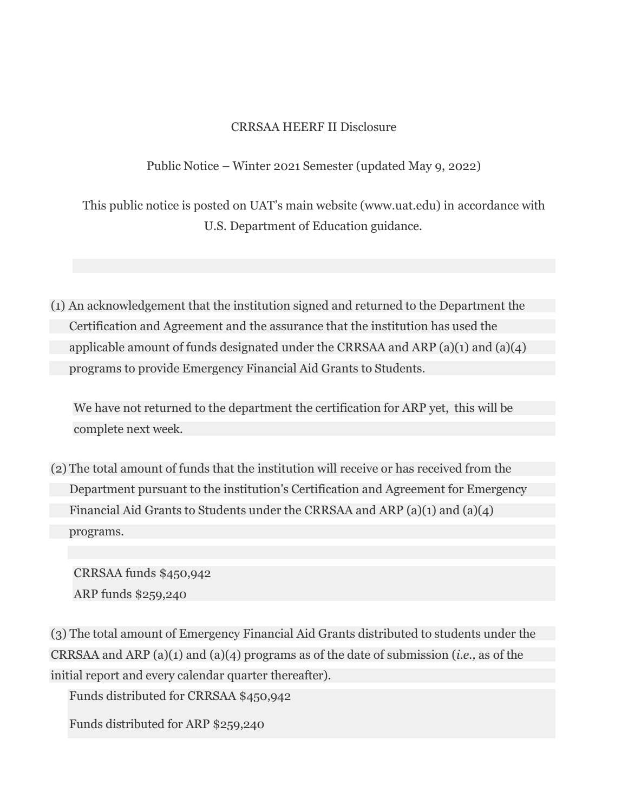# CRRSAA HEERF II Disclosure

Public Notice – Winter 2021 Semester (updated May 9, 2022)

This public notice is posted on UAT's main website (www.uat.edu) in accordance with U.S. Department of Education guidance.

(1) An acknowledgement that the institution signed and returned to the Department the Certification and Agreement and the assurance that the institution has used the applicable amount of funds designated under the CRRSAA and ARP (a)(1) and (a)(4) programs to provide Emergency Financial Aid Grants to Students.

We have not returned to the department the certification for ARP yet, this will be complete next week.

(2) The total amount of funds that the institution will receive or has received from the Department pursuant to the institution's Certification and Agreement for Emergency Financial Aid Grants to Students under the CRRSAA and ARP (a)(1) and (a)(4) programs.

CRRSAA funds \$450,942 ARP funds \$259,240

(3) The total amount of Emergency Financial Aid Grants distributed to students under the CRRSAA and ARP (a)(1) and (a)(4) programs as of the date of submission (*i.e.,* as of the initial report and every calendar quarter thereafter).

Funds distributed for CRRSAA \$450,942

Funds distributed for ARP \$259,240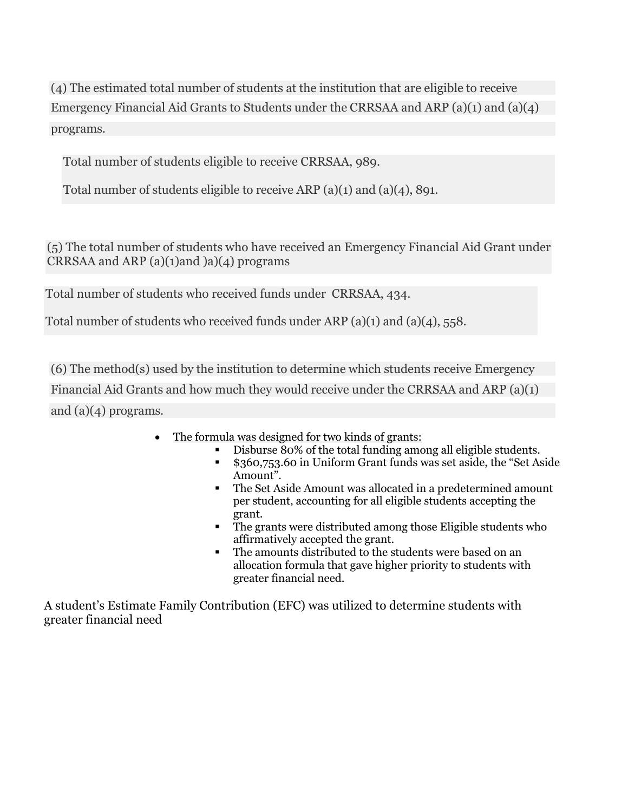(4) The estimated total number of students at the institution that are eligible to receive Emergency Financial Aid Grants to Students under the CRRSAA and ARP (a)(1) and (a)(4) programs.

Total number of students eligible to receive CRRSAA, 989.

Total number of students eligible to receive ARP (a)(1) and (a)(4), 891.

(5) The total number of students who have received an Emergency Financial Aid Grant under CRRSAA and ARP  $(a)(1)$ and  $(a)(4)$  programs

Total number of students who received funds under CRRSAA, 434.

Total number of students who received funds under ARP (a)(1) and (a)(4), 558.

(6) The method(s) used by the institution to determine which students receive Emergency Financial Aid Grants and how much they would receive under the CRRSAA and ARP (a)(1) and (a)(4) programs.

- The formula was designed for two kinds of grants:
	- § Disburse 80% of the total funding among all eligible students.
	- § \$360,753.60 in Uniform Grant funds was set aside, the "Set Aside Amount".
	- The Set Aside Amount was allocated in a predetermined amount per student, accounting for all eligible students accepting the grant.
	- § The grants were distributed among those Eligible students who affirmatively accepted the grant.
	- § The amounts distributed to the students were based on an allocation formula that gave higher priority to students with greater financial need.

A student's Estimate Family Contribution (EFC) was utilized to determine students with greater financial need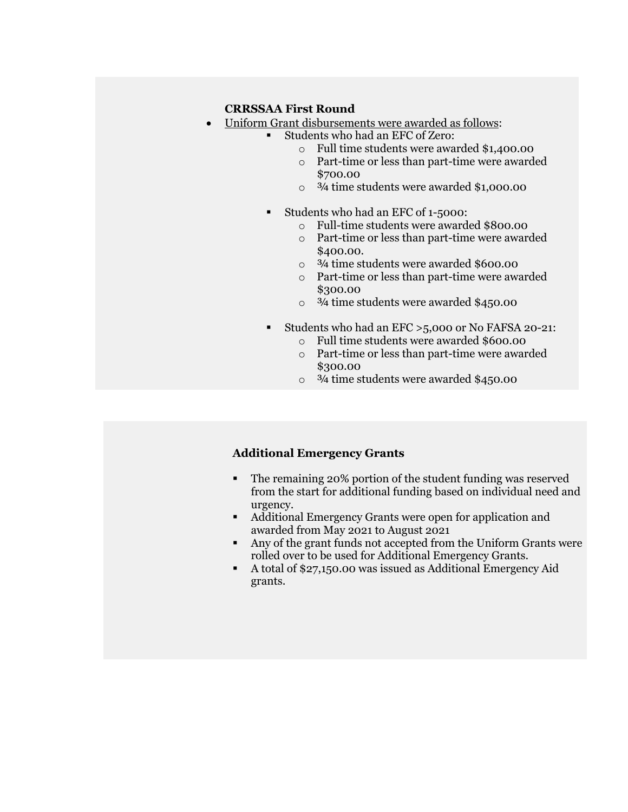### **CRRSSAA First Round**

- Uniform Grant disbursements were awarded as follows:
	- § Students who had an EFC of Zero:
		- o Full time students were awarded \$1,400.00
		- o Part-time or less than part-time were awarded \$700.00
		- $\circ$   $\frac{3}{4}$  time students were awarded \$1,000.00
		- § Students who had an EFC of 1-5000:
			- o Full-time students were awarded \$800.00
			- o Part-time or less than part-time were awarded \$400.00.
			- o ¾ time students were awarded \$600.00
			- o Part-time or less than part-time were awarded \$300.00
			- $\circ$   $\frac{3}{4}$  time students were awarded \$450.00
		- § Students who had an EFC >5,000 or No FAFSA 20-21:
			- o Full time students were awarded \$600.00
			- o Part-time or less than part-time were awarded \$300.00
			- $\circ$   $\frac{3}{4}$  time students were awarded \$450.00

#### **Additional Emergency Grants**

- The remaining 20% portion of the student funding was reserved from the start for additional funding based on individual need and urgency.
- § Additional Emergency Grants were open for application and awarded from May 2021 to August 2021
- § Any of the grant funds not accepted from the Uniform Grants were rolled over to be used for Additional Emergency Grants.
- § A total of \$27,150.00 was issued as Additional Emergency Aid grants.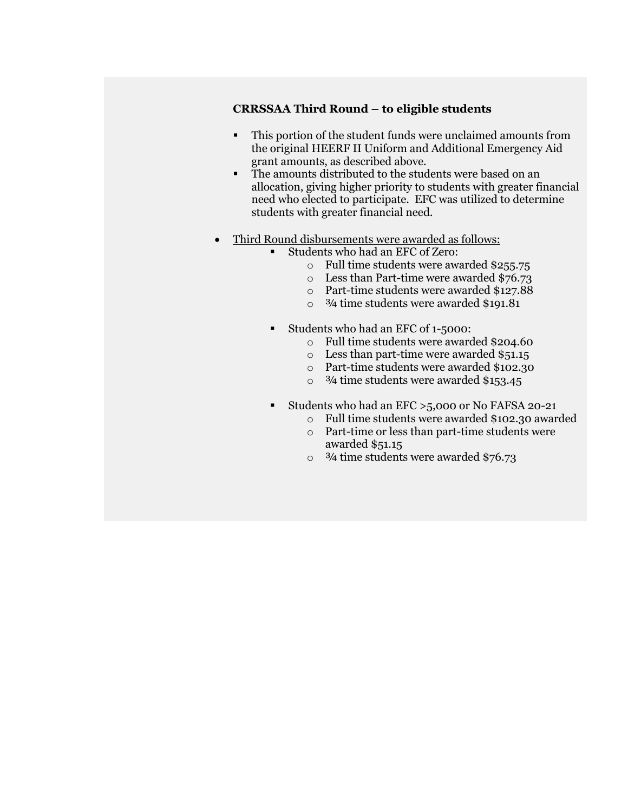# **CRRSSAA Third Round – to eligible students**

- § This portion of the student funds were unclaimed amounts from the original HEERF II Uniform and Additional Emergency Aid grant amounts, as described above.
- The amounts distributed to the students were based on an allocation, giving higher priority to students with greater financial need who elected to participate. EFC was utilized to determine students with greater financial need.
- Third Round disbursements were awarded as follows:
	- Students who had an EFC of Zero:
		- o Full time students were awarded \$255.75
		- o Less than Part-time were awarded \$76.73
		- o Part-time students were awarded \$127.88
		- o ¾ time students were awarded \$191.81
	- Students who had an EFC of 1-5000:
		- o Full time students were awarded \$204.60
		- o Less than part-time were awarded \$51.15
		- o Part-time students were awarded \$102.30
		- $\circ$   $\frac{3}{4}$  time students were awarded \$153.45
	- Students who had an EFC > 5,000 or No FAFSA 20-21
		- o Full time students were awarded \$102.30 awarded o Part-time or less than part-time students were
		- awarded \$51.15
		- $\circ$  3/4 time students were awarded \$76.73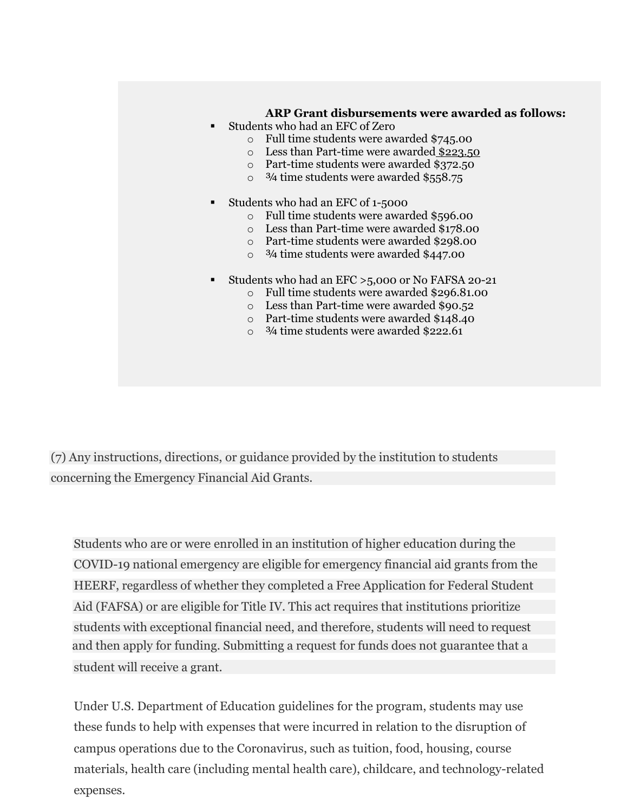## **ARP Grant disbursements were awarded as follows:**

- Students who had an EFC of Zero
	- o Full time students were awarded \$745.00
	- o Less than Part-time were awarded \$223.50
	- o Part-time students were awarded \$372.50
	- $\circ$   $\frac{3}{4}$  time students were awarded \$558.75
- § Students who had an EFC of 1-5000
	- o Full time students were awarded \$596.00
	- o Less than Part-time were awarded \$178.00
	- o Part-time students were awarded \$298.00
	- o ¾ time students were awarded \$447.00
- § Students who had an EFC >5,000 or No FAFSA 20-21
	- o Full time students were awarded \$296.81.00
	- o Less than Part-time were awarded \$90.52
	- o Part-time students were awarded \$148.40
	- $\degree$  3/4 time students were awarded \$222.61

(7) Any instructions, directions, or guidance provided by the institution to students concerning the Emergency Financial Aid Grants.

and then apply for funding. Submitting a request for funds does not guarantee that a student will receive a grant. Students who are or were enrolled in an institution of higher education during the COVID-19 national emergency are eligible for emergency financial aid grants from the HEERF, regardless of whether they completed a Free Application for Federal Student Aid (FAFSA) or are eligible for Title IV. This act requires that institutions prioritize students with exceptional financial need, and therefore, students will need to request

Under U.S. Department of Education guidelines for the program, students may use these funds to help with expenses that were incurred in relation to the disruption of campus operations due to the Coronavirus, such as tuition, food, housing, course materials, health care (including mental health care), childcare, and technology-related expenses.